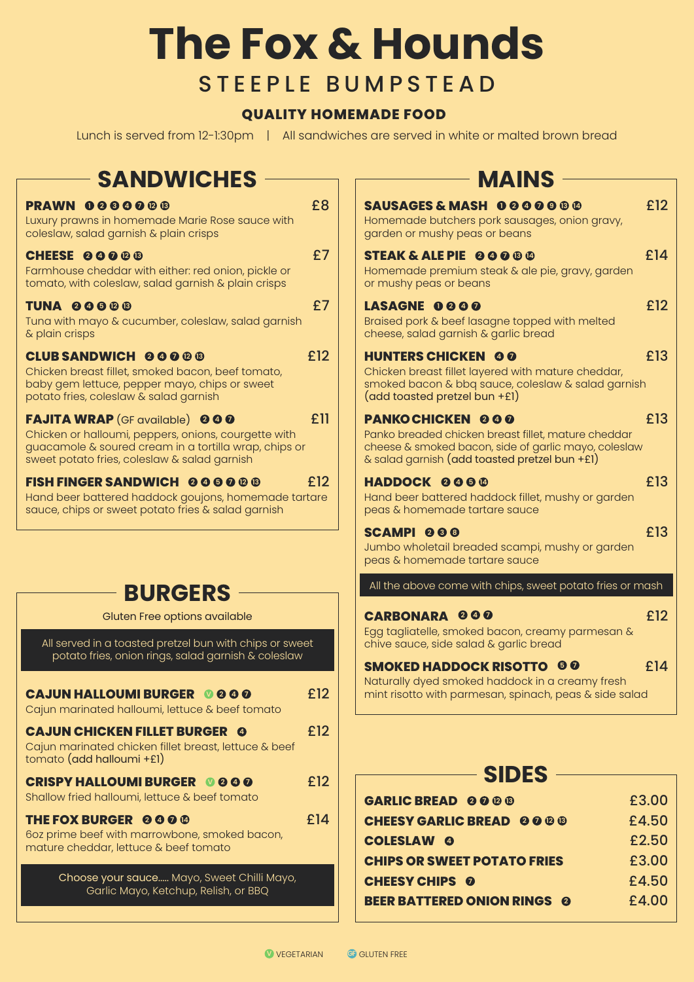## **The Fox & Hounds** STEEPLE BUMPSTEAD

## **QUALITY HOMEMADE FOOD**

Lunch is served from 12-1:30pm | All sandwiches are served in white or malted brown bread

| <b>SANDWICHES</b>                                                                                                                                                                                      |     | <b>MAINS</b>                                                                                                                                                                            |                |
|--------------------------------------------------------------------------------------------------------------------------------------------------------------------------------------------------------|-----|-----------------------------------------------------------------------------------------------------------------------------------------------------------------------------------------|----------------|
| PRAWN 0000000<br>Luxury prawns in homemade Marie Rose sauce with<br>coleslaw, salad garnish & plain crisps                                                                                             | £8  | SAUSAGES & MASH 000000<br>Homemade butchers pork sausages, onion gravy,<br>garden or mushy peas or beans                                                                                | £12            |
| <b>CHEESE 00000</b><br>Farmhouse cheddar with either: red onion, pickle or<br>tomato, with coleslaw, salad garnish & plain crisps                                                                      | £7  | <b>STEAK &amp; ALE PIE 00000</b><br>Homemade premium steak & ale pie, gravy, garden<br>or mushy peas or beans                                                                           | £14            |
| <b>TUNA 00000</b><br>Tuna with mayo & cucumber, coleslaw, salad garnish<br>& plain crisps                                                                                                              | £7  | LASAGNE 0000<br>Braised pork & beef lasagne topped with melted<br>cheese, salad garnish & garlic bread                                                                                  | £12            |
| <b>CLUB SANDWICH 00000</b><br>Chicken breast fillet, smoked bacon, beef tomato,<br>baby gem lettuce, pepper mayo, chips or sweet<br>potato fries, coleslaw & salad garnish                             | £12 | <b>HUNTERS CHICKEN 00</b><br>Chicken breast fillet layered with mature cheddar,<br>smoked bacon & bbq sauce, coleslaw & salad garnish<br>$(add toasted pretzel bun +El)$                | £13            |
| <b>FAJITA WRAP</b> (GF available) 000<br>Chicken or halloumi, peppers, onions, courgette with<br>guacamole & soured cream in a tortilla wrap, chips or<br>sweet potato fries, coleslaw & salad garnish | £11 | <b>PANKOCHICKEN 000</b><br>Panko breaded chicken breast fillet, mature cheddar<br>cheese & smoked bacon, side of garlic mayo, coleslaw<br>& salad garnish (add toasted pretzel bun +£1) | £13            |
| <b>FISH FINGER SANDWICH @@@@@@</b><br>Hand beer battered haddock goujons, homemade tartare<br>sauce, chips or sweet potato fries & salad garnish                                                       | £12 | <b>HADDOCK 0000</b><br>Hand beer battered haddock fillet, mushy or garden<br>peas & homemade tartare sauce                                                                              | £13            |
|                                                                                                                                                                                                        |     | SCAMPI <sub>00</sub><br>Jumbo wholetail breaded scampi, mushy or garden<br>peas & homemade tartare sauce                                                                                | £13            |
| <b>BURGERS</b>                                                                                                                                                                                         |     | All the above come with chips, sweet potato fries or mash                                                                                                                               |                |
| Gluten Free options available                                                                                                                                                                          |     | <b>CARBONARA 000</b>                                                                                                                                                                    | £12            |
| All served in a toasted pretzel bun with chips or sweet<br>potato fries, onion rings, salad garnish & coleslaw                                                                                         |     | Egg tagliatelle, smoked bacon, creamy parmesan &<br>chive sauce, side salad & garlic bread                                                                                              |                |
| <b>CAJUN HALLOUMI BURGER 0000</b><br>Cajun marinated halloumi, lettuce & beef tomato                                                                                                                   | £12 | <b>SMOKED HADDOCK RISOTTO 00</b><br>Naturally dyed smoked haddock in a creamy fresh<br>mint risotto with parmesan, spinach, peas & side salad                                           | £14            |
| <b>CAJUN CHICKEN FILLET BURGER @</b><br>Cajun marinated chicken fillet breast, lettuce & beef<br>tomato (add halloumi +£1)                                                                             | £12 |                                                                                                                                                                                         |                |
| <b>CRISPY HALLOUMI BURGER © 0 0 0</b>                                                                                                                                                                  | £12 | <b>SIDES</b>                                                                                                                                                                            |                |
| Shallow fried halloumi, lettuce & beef tomato                                                                                                                                                          |     | <b>GARLIC BREAD 0000</b>                                                                                                                                                                | £3.00          |
| THE FOX BURGER 0000<br>6oz prime beef with marrowbone, smoked bacon,                                                                                                                                   | £14 | <b>CHEESY GARLIC BREAD 0000</b>                                                                                                                                                         | £4.50          |
| mature cheddar, lettuce & beef tomato                                                                                                                                                                  |     | <b>COLESLAW 0</b>                                                                                                                                                                       | £2.50          |
| Choose your sauce Mayo, Sweet Chilli Mayo,                                                                                                                                                             |     | <b>CHIPS OR SWEET POTATO FRIES</b>                                                                                                                                                      | £3.00<br>£4.50 |
| Garlic Mayo, Ketchup, Relish, or BBQ                                                                                                                                                                   |     | <b>CHEESY CHIPS 0</b><br><b>BEER BATTERED ONION RINGS @</b>                                                                                                                             | £4.00          |